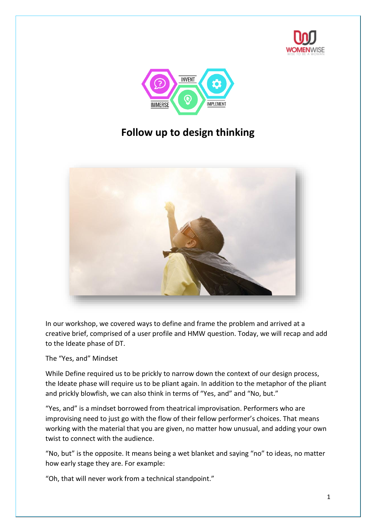



# **Follow up to design thinking**



In our workshop, we covered ways to define and frame the problem and arrived at a creative brief, comprised of a user profile and HMW question. Today, we will recap and add to the Ideate phase of DT.

The "Yes, and" Mindset

While Define required us to be prickly to narrow down the context of our design process, the Ideate phase will require us to be pliant again. In addition to the metaphor of the pliant and prickly blowfish, we can also think in terms of "Yes, and" and "No, but."

"Yes, and" is a mindset borrowed from theatrical improvisation. Performers who are improvising need to just go with the flow of their fellow performer's choices. That means working with the material that you are given, no matter how unusual, and adding your own twist to connect with the audience.

"No, but" is the opposite. It means being a wet blanket and saying "no" to ideas, no matter how early stage they are. For example:

"Oh, that will never work from a technical standpoint."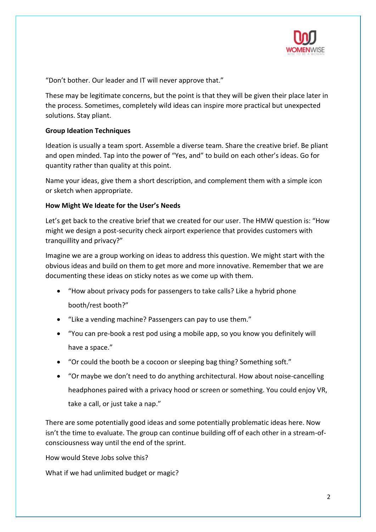

"Don't bother. Our leader and IT will never approve that."

These may be legitimate concerns, but the point is that they will be given their place later in the process. Sometimes, completely wild ideas can inspire more practical but unexpected solutions. Stay pliant.

## **Group Ideation Techniques**

Ideation is usually a team sport. Assemble a diverse team. Share the creative brief. Be pliant and open minded. Tap into the power of "Yes, and" to build on each other's ideas. Go for quantity rather than quality at this point.

Name your ideas, give them a short description, and complement them with a simple icon or sketch when appropriate.

## **How Might We Ideate for the User's Needs**

Let's get back to the creative brief that we created for our user. The HMW question is: "How might we design a post-security check airport experience that provides customers with tranquillity and privacy?"

Imagine we are a group working on ideas to address this question. We might start with the obvious ideas and build on them to get more and more innovative. Remember that we are documenting these ideas on sticky notes as we come up with them.

- "How about privacy pods for passengers to take calls? Like a hybrid phone booth/rest booth?"
- "Like a vending machine? Passengers can pay to use them."
- "You can pre-book a rest pod using a mobile app, so you know you definitely will have a space."
- "Or could the booth be a cocoon or sleeping bag thing? Something soft."
- "Or maybe we don't need to do anything architectural. How about noise-cancelling headphones paired with a privacy hood or screen or something. You could enjoy VR, take a call, or just take a nap."

There are some potentially good ideas and some potentially problematic ideas here. Now isn't the time to evaluate. The group can continue building off of each other in a stream-ofconsciousness way until the end of the sprint.

How would Steve Jobs solve this?

What if we had unlimited budget or magic?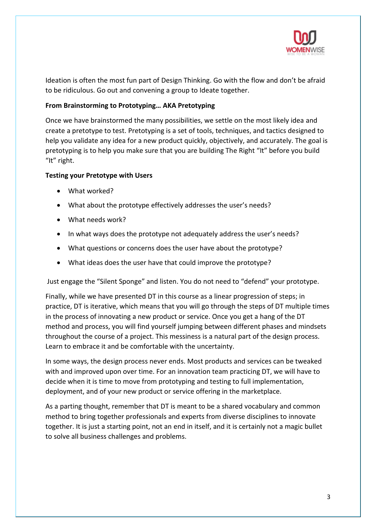

Ideation is often the most fun part of Design Thinking. Go with the flow and don't be afraid to be ridiculous. Go out and convening a group to Ideate together.

## **From Brainstorming to Prototyping… AKA Pretotyping**

Once we have brainstormed the many possibilities, we settle on the most likely idea and create a pretotype to test. Pretotyping is a set of tools, techniques, and tactics designed to help you validate any idea for a new product quickly, objectively, and accurately. The goal is pretotyping is to help you make sure that you are building The Right "It" before you build "It" right.

## **Testing your Pretotype with Users**

- What worked?
- What about the prototype effectively addresses the user's needs?
- What needs work?
- In what ways does the prototype not adequately address the user's needs?
- What questions or concerns does the user have about the prototype?
- What ideas does the user have that could improve the prototype?

Just engage the "Silent Sponge" and listen. You do not need to "defend" your prototype.

Finally, while we have presented DT in this course as a linear progression of steps; in practice, DT is iterative, which means that you will go through the steps of DT multiple times in the process of innovating a new product or service. Once you get a hang of the DT method and process, you will find yourself jumping between different phases and mindsets throughout the course of a project. This messiness is a natural part of the design process. Learn to embrace it and be comfortable with the uncertainty.

In some ways, the design process never ends. Most products and services can be tweaked with and improved upon over time. For an innovation team practicing DT, we will have to decide when it is time to move from prototyping and testing to full implementation, deployment, and of your new product or service offering in the marketplace.

As a parting thought, remember that DT is meant to be a shared vocabulary and common method to bring together professionals and experts from diverse disciplines to innovate together. It is just a starting point, not an end in itself, and it is certainly not a magic bullet to solve all business challenges and problems.